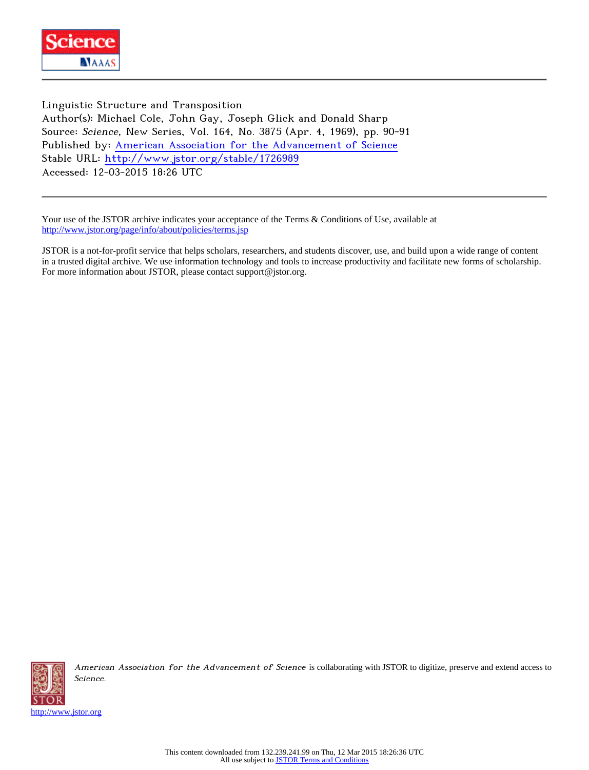

Linguistic Structure and Transposition Author(s): Michael Cole, John Gay, Joseph Glick and Donald Sharp Source: Science, New Series, Vol. 164, No. 3875 (Apr. 4, 1969), pp. 90-91 Published by: [American Association for the Advancement of Science](http://www.jstor.org/action/showPublisher?publisherCode=aaas) Stable URL: <http://www.jstor.org/stable/1726989> Accessed: 12-03-2015 18:26 UTC

Your use of the JSTOR archive indicates your acceptance of the Terms & Conditions of Use, available at <http://www.jstor.org/page/info/about/policies/terms.jsp>

JSTOR is a not-for-profit service that helps scholars, researchers, and students discover, use, and build upon a wide range of content in a trusted digital archive. We use information technology and tools to increase productivity and facilitate new forms of scholarship. For more information about JSTOR, please contact support@jstor.org.



American Association for the Advancement of Science is collaborating with JSTOR to digitize, preserve and extend access to Science.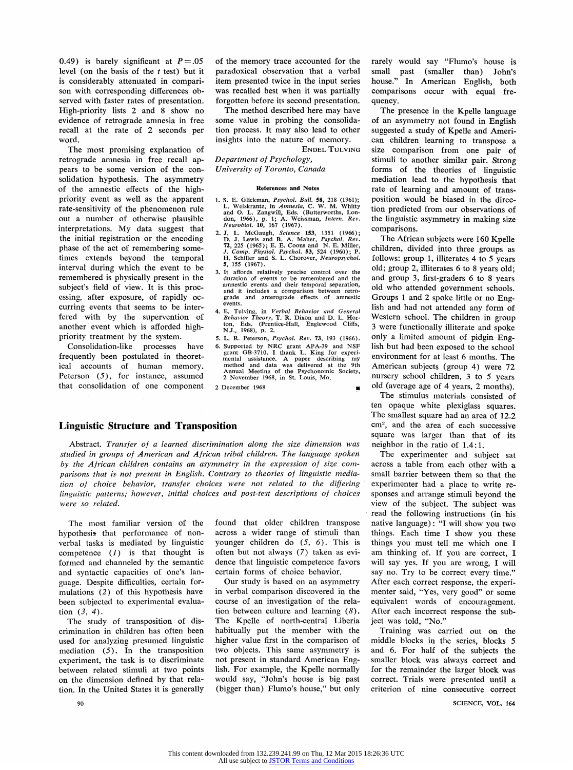0.49) is barely significant at  $P = .05$ level ( on the basis of the *t* test) but it is considerably attenuated in comparison with corresponding differences observed with faster rates of presentation. High-priority lists 2 and 8 show no evidence of retrograde amnesia in free recall at the rate of 2 seconds per word.

The most promising explanation of retrograde amnesia in free recall appears to be some version of the consolidation hypothesis. The asymmetry of the amnestic effects of the highpriority event as well as the apparent rate-sensitivity of the phenomenon rule out a number of otherwise plausible interpretations. My data suggest that the initial registration or the encoding phase of the act of remembering sometimes extends beyond the temporal interval during which the event to be remembered is physically present in the subject's field of view. It is this processing, after exposure, of rapidly occurring events that seems to be interfered **with** by the supervention of another event which is afforded highpriority treatment by the system.

Consolidation-like processes have frequently been postulated in theoretical accounts of human memory. Peterson (5), for instance, assumed **that** consolidation of one component of the memory trace accounted for the paradoxical observation that a verbal item presented twice in the input series was recalled best when it was partially forgotten before its second presentation.

The method described here may have some value in probing the consolidation process. It may also lead to other insights into the nature of memory.

ENDEL TULVING

*Department of Psychology, University of Toronto, Canada* 

## **References and Notes**

- 1. S. E. Glickman, *Psychol. Bull.* 58, 218 (1961);<br>L. Weiskrantz, in *Amnesia*, C. W. M. Whitty<br>and O. L. Zangwill, Eds. (Butterworths, Lon-<br>don, 1966), p. 1; A. Weissman, *Intern. Rev.*<br>*Neurobiol.* 10, 167 (1967).
- 2. J. L. McGaugh, Science 153, 1351 (1966);<br>D. J. Lewis and B. A. Maher, *Psychol. Rev.*<br>72, 225 (1965); E. E. Coons and N. E. Miller,<br>*J. Comp. Physiol. Psychol.* 53, 524 (1960); P.<br>H. Schiller and S. L. Chorover, *Neurop* **5,** 155 (1967).
- 3. It affords relatively precise control over the duration of events to be remembered and the amnestic events and their temporal separation, and it includes a comparison between retro-grade and anterograde effects of amnestic and anterograde events.
- 4. E. Tulving, in *Verbal Behavior and General Behavior Theory*, T. R. Dixon and D. L. Hor-<br>ton, Eds. (Prentice-Hall, Englewood Cliffs,<br>N.J., 1968), p. 2.
- *S.* L. R. Peterson, *Psycho/. Rev.* 73, 193 (1966).
- 6. Supported by NRC grant AP A-39 and NSF grant GB-3710. I thank L. King for experi-mental assistance. A paper describing my method and data was delivered at the 9th Annual Meeting of the Psychonomic Society,<br>2 November 1968, in St. Louis, Mo.

■

2 December 1968

## **Linguistic Structure and Transposition**

Abstract. *Transfer of a learned discrimination along the size dimension was studied in groups of American and African tribal children. The language spoken by the African children contains an asymmetry in the expression of slze comparisons that* is *not present in English. Contrary to theories of linguistic mediation of choice behavior, transfer choices were not related to the difjering linguistic patterns; however, initial choices and post-test descriptions of choices were so related.* 

The most familiar version of the hypothesis that performance of nonverbal tasks is mediated by linguistic competence  $(I)$  is that thought is formed and channeled by the semantic and syntactic capacities of one's language. Despite difficulties, certain formulations (2) of this hypothesis have been subjected to experimental evaluation (3, 4).

The study of transposition of discrimination in children has often been used for analyzing presumed linguistic mediation (5). In the transposition experiment, the task is to discriminate between related stimuli at two points on the dimension defined by that relation. In the United States it is generally

90

found that older children transpose across a wider range of stimuli than younger children do  $(5, 6)$ . This is often but not always (7) taken as evidence that linguistic competence favors certain forms of choice behavior.

Our study is based on an asymmetry in verbal comparison discovered in the course of an investigation of the relation between culture and learning  $(8)$ . The Kpelle of north-central Liberia habitually put the member with the higher value first in the comparison of two objects. This same asymmetry is not present in standard American English. For example, the Kpelle normally would say, "John's house is big past (bigger than) Flumo's house," but only

rarely would say "Flumo's house is small past (smaller than) John's house." In American English, both comparisons occur with equal frequency.

The presence in the Kpelle language of an asymmetry not found in English suggested a study of Kpelle and American children learning to transpose a size comparison from one pair of stimuli to another similar pair. Strong forms of the theories of linguistic mediation lead to the hypothesis that rate of learning and amount of transposition would be biased in the direction predicted from our observations of the linguistic asymmetry in making size comparisons.

The African subjects were 160 Kpelle children, divided into three groups as follows: group 1, illiterates 4 to 5 years old; group 2, illiterates 6 to 8 years old; and group 3, first-graders 6 to 8 years old who attended government schools. Groups 1 and 2 spoke little or no English and had not attended any form of Western school. The children in group 3 were functionally iIIiterate and spoke only a limited amount of pidgin English but had been exposed to the school environment for at least 6 months. The American subjects (group 4) were 72 nursery school children, 3 to 5 years old (average age of 4 years, 2 months).

The stimulus materials consisted of ten opaque white plexiglass squares. The smallest square had an area of **12.2**  cm2, and the area of each successive square was larger than that of its neighbor in the ratio of 1.4: 1.

The experimenter and subject sat across a table from each other with a small barrier between them so that the experimenter had a place to write responses and arrange stimuli beyond the view of the subject. The subject was read the following instructions (in his native language) : "I will show you two things. Each time I show you these things you must tell me which one I am thinking of. If you are correct, I will say yes. If you are wrong, I will say no. Try to be correct every time." After each correct response, the experimenter said, "Yes, very good" or some equivalent words of encouragement. After each incorrect response the subject was told, "No."

Training was carried out on the middle blocks in the series, blocks 5 and 6. For half of the subjects the smaller block was always correct and for the remainder the larger block was correct. Trials were presented until a criterion of nine consecutive correct

SCIENCE, VOL. 164